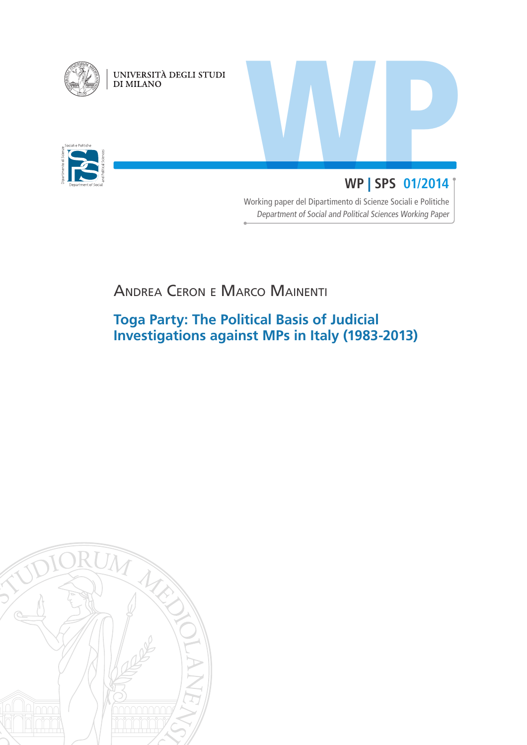

UNIVERSITÀ DEGLI STUDI<br>DI MILANO

iali e Politich

# WP | SPS 01/2014 **WP** | **SPS 01/2014**

Working paper del Dipartimento di Scienze Sociali e Politiche Department of Social and Political Sciences Working Paper

# Andrea Ceron e Marco Mainenti

## **Toga Party: The Political Basis of Judicial Investigations against MPs in Italy (1983-2013)**

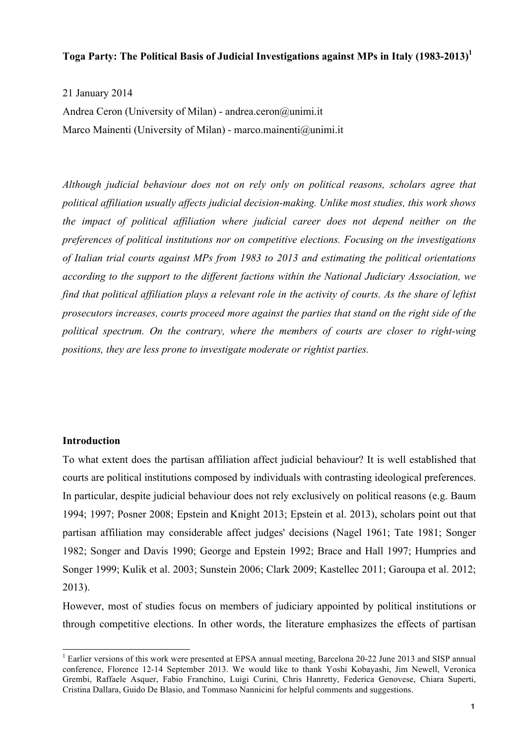### **Toga Party: The Political Basis of Judicial Investigations against MPs in Italy (1983-2013)<sup>1</sup>**

21 January 2014 Andrea Ceron (University of Milan) - andrea.ceron@unimi.it Marco Mainenti (University of Milan) - marco.mainenti@unimi.it

*Although judicial behaviour does not on rely only on political reasons, scholars agree that political affiliation usually affects judicial decision-making. Unlike most studies, this work shows the impact of political affiliation where judicial career does not depend neither on the preferences of political institutions nor on competitive elections. Focusing on the investigations of Italian trial courts against MPs from 1983 to 2013 and estimating the political orientations according to the support to the different factions within the National Judiciary Association, we find that political affiliation plays a relevant role in the activity of courts. As the share of leftist prosecutors increases, courts proceed more against the parties that stand on the right side of the political spectrum. On the contrary, where the members of courts are closer to right-wing positions, they are less prone to investigate moderate or rightist parties.* 

### **Introduction**

To what extent does the partisan affiliation affect judicial behaviour? It is well established that courts are political institutions composed by individuals with contrasting ideological preferences. In particular, despite judicial behaviour does not rely exclusively on political reasons (e.g. Baum 1994; 1997; Posner 2008; Epstein and Knight 2013; Epstein et al. 2013), scholars point out that partisan affiliation may considerable affect judges' decisions (Nagel 1961; Tate 1981; Songer 1982; Songer and Davis 1990; George and Epstein 1992; Brace and Hall 1997; Humpries and Songer 1999; Kulik et al. 2003; Sunstein 2006; Clark 2009; Kastellec 2011; Garoupa et al. 2012; 2013).

However, most of studies focus on members of judiciary appointed by political institutions or through competitive elections. In other words, the literature emphasizes the effects of partisan

<sup>&</sup>lt;sup>1</sup> Earlier versions of this work were presented at EPSA annual meeting, Barcelona 20-22 June 2013 and SISP annual conference, Florence 12-14 September 2013. We would like to thank Yoshi Kobayashi, Jim Newell, Veronica Grembi, Raffaele Asquer, Fabio Franchino, Luigi Curini, Chris Hanretty, Federica Genovese, Chiara Superti, Cristina Dallara, Guido De Blasio, and Tommaso Nannicini for helpful comments and suggestions.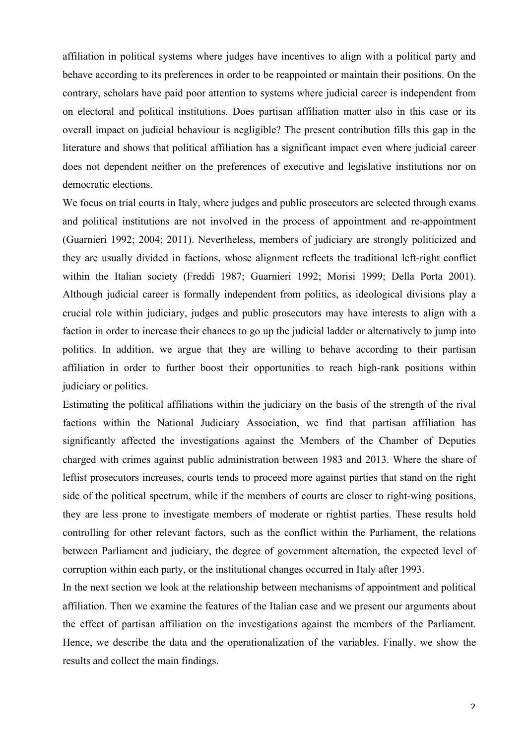affiliation in political systems where judges have incentives to align with a political party and behave according to its preferences in order to be reappointed or maintain their positions. On the contrary, scholars have paid poor attention to systems where judicial career is independent from on electoral and political institutions. Does partisan affiliation matter also in this case or its overall impact on judicial behaviour is negligible? The present contribution fills this gap in the literature and shows that political affiliation has a significant impact even where judicial career does not dependent neither on the preferences of executive and legislative institutions nor on democratic elections.

We focus on trial courts in Italy, where judges and public prosecutors are selected through exams and political institutions are not involved in the process of appointment and re-appointment (Guarnieri 1992; 2004; 2011). Nevertheless, members of judiciary are strongly politicized and they are usually divided in factions, whose alignment reflects the traditional left-right conflict within the Italian society (Freddi 1987; Guarnieri 1992; Morisi 1999; Della Porta 2001). Although judicial career is formally independent from politics, as ideological divisions play a crucial role within judiciary, judges and public prosecutors may have interests to align with a faction in order to increase their chances to go up the judicial ladder or alternatively to jump into politics. In addition, we argue that they are willing to behave according to their partisan affiliation in order to further boost their opportunities to reach high-rank positions within judiciary or politics.

Estimating the political affiliations within the judiciary on the basis of the strength of the rival factions within the National Judiciary Association, we find that partisan affiliation has significantly affected the investigations against the Members of the Chamber of Deputies charged with crimes against public administration between 1983 and 2013. Where the share of leftist prosecutors increases, courts tends to proceed more against parties that stand on the right side of the political spectrum, while if the members of courts are closer to right-wing positions, they are less prone to investigate members of moderate or rightist parties. These results hold controlling for other relevant factors, such as the conflict within the Parliament, the relations between Parliament and judiciary, the degree of government alternation, the expected level of corruption within each party, or the institutional changes occurred in Italy after 1993.

In the next section we look at the relationship between mechanisms of appointment and political affiliation. Then we examine the features of the Italian case and we present our arguments about the effect of partisan affiliation on the investigations against the members of the Parliament. Hence, we describe the data and the operationalization of the variables. Finally, we show the results and collect the main findings.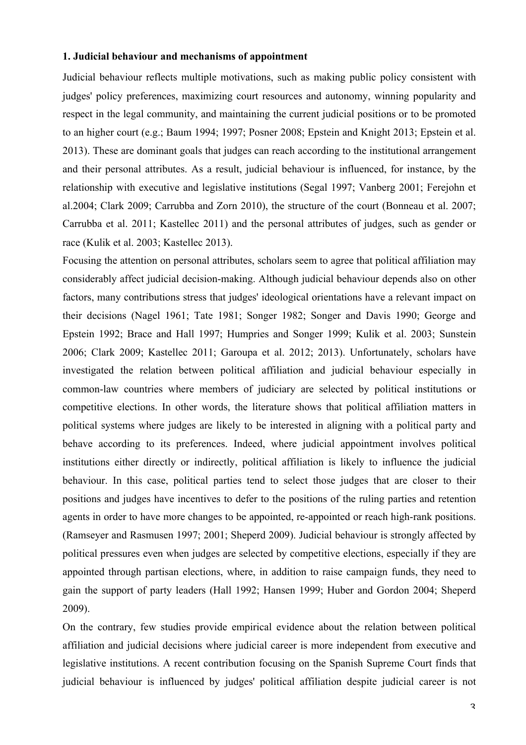### **1. Judicial behaviour and mechanisms of appointment**

Judicial behaviour reflects multiple motivations, such as making public policy consistent with judges' policy preferences, maximizing court resources and autonomy, winning popularity and respect in the legal community, and maintaining the current judicial positions or to be promoted to an higher court (e.g.; Baum 1994; 1997; Posner 2008; Epstein and Knight 2013; Epstein et al. 2013). These are dominant goals that judges can reach according to the institutional arrangement and their personal attributes. As a result, judicial behaviour is influenced, for instance, by the relationship with executive and legislative institutions (Segal 1997; Vanberg 2001; Ferejohn et al.2004; Clark 2009; Carrubba and Zorn 2010), the structure of the court (Bonneau et al. 2007; Carrubba et al. 2011; Kastellec 2011) and the personal attributes of judges, such as gender or race (Kulik et al. 2003; Kastellec 2013).

Focusing the attention on personal attributes, scholars seem to agree that political affiliation may considerably affect judicial decision-making. Although judicial behaviour depends also on other factors, many contributions stress that judges' ideological orientations have a relevant impact on their decisions (Nagel 1961; Tate 1981; Songer 1982; Songer and Davis 1990; George and Epstein 1992; Brace and Hall 1997; Humpries and Songer 1999; Kulik et al. 2003; Sunstein 2006; Clark 2009; Kastellec 2011; Garoupa et al. 2012; 2013). Unfortunately, scholars have investigated the relation between political affiliation and judicial behaviour especially in common-law countries where members of judiciary are selected by political institutions or competitive elections. In other words, the literature shows that political affiliation matters in political systems where judges are likely to be interested in aligning with a political party and behave according to its preferences. Indeed, where judicial appointment involves political institutions either directly or indirectly, political affiliation is likely to influence the judicial behaviour. In this case, political parties tend to select those judges that are closer to their positions and judges have incentives to defer to the positions of the ruling parties and retention agents in order to have more changes to be appointed, re-appointed or reach high-rank positions. (Ramseyer and Rasmusen 1997; 2001; Sheperd 2009). Judicial behaviour is strongly affected by political pressures even when judges are selected by competitive elections, especially if they are appointed through partisan elections, where, in addition to raise campaign funds, they need to gain the support of party leaders (Hall 1992; Hansen 1999; Huber and Gordon 2004; Sheperd 2009).

On the contrary, few studies provide empirical evidence about the relation between political affiliation and judicial decisions where judicial career is more independent from executive and legislative institutions. A recent contribution focusing on the Spanish Supreme Court finds that judicial behaviour is influenced by judges' political affiliation despite judicial career is not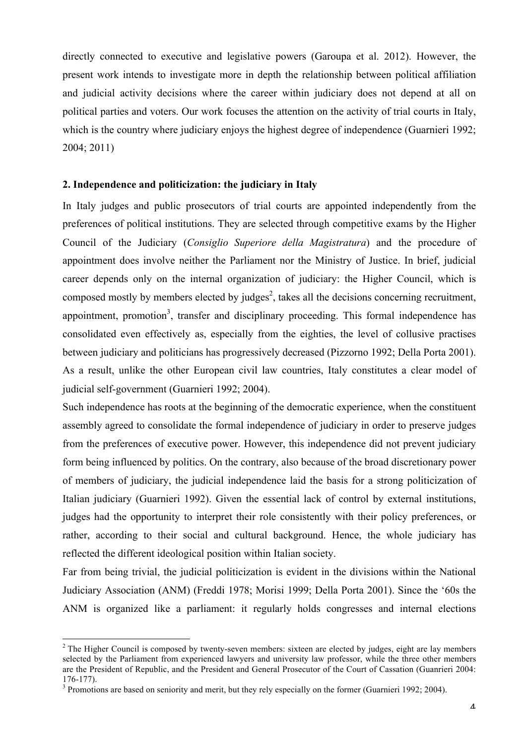directly connected to executive and legislative powers (Garoupa et al. 2012). However, the present work intends to investigate more in depth the relationship between political affiliation and judicial activity decisions where the career within judiciary does not depend at all on political parties and voters. Our work focuses the attention on the activity of trial courts in Italy, which is the country where judiciary enjoys the highest degree of independence (Guarnieri 1992; 2004; 2011)

### **2. Independence and politicization: the judiciary in Italy**

In Italy judges and public prosecutors of trial courts are appointed independently from the preferences of political institutions. They are selected through competitive exams by the Higher Council of the Judiciary (*Consiglio Superiore della Magistratura*) and the procedure of appointment does involve neither the Parliament nor the Ministry of Justice. In brief, judicial career depends only on the internal organization of judiciary: the Higher Council, which is composed mostly by members elected by judges<sup>2</sup>, takes all the decisions concerning recruitment, appointment, promotion<sup>3</sup>, transfer and disciplinary proceeding. This formal independence has consolidated even effectively as, especially from the eighties, the level of collusive practises between judiciary and politicians has progressively decreased (Pizzorno 1992; Della Porta 2001). As a result, unlike the other European civil law countries, Italy constitutes a clear model of judicial self-government (Guarnieri 1992; 2004).

Such independence has roots at the beginning of the democratic experience, when the constituent assembly agreed to consolidate the formal independence of judiciary in order to preserve judges from the preferences of executive power. However, this independence did not prevent judiciary form being influenced by politics. On the contrary, also because of the broad discretionary power of members of judiciary, the judicial independence laid the basis for a strong politicization of Italian judiciary (Guarnieri 1992). Given the essential lack of control by external institutions, judges had the opportunity to interpret their role consistently with their policy preferences, or rather, according to their social and cultural background. Hence, the whole judiciary has reflected the different ideological position within Italian society.

Far from being trivial, the judicial politicization is evident in the divisions within the National Judiciary Association (ANM) (Freddi 1978; Morisi 1999; Della Porta 2001). Since the '60s the ANM is organized like a parliament: it regularly holds congresses and internal elections

<sup>&</sup>lt;sup>2</sup> The Higher Council is composed by twenty-seven members: sixteen are elected by judges, eight are lay members selected by the Parliament from experienced lawyers and university law professor, while the three other members are the President of Republic, and the President and General Prosecutor of the Court of Cassation (Guanrieri 2004: 176-177).<br><sup>3</sup> Promotions are based on seniority and merit, but they rely especially on the former (Guarnieri 1992; 2004).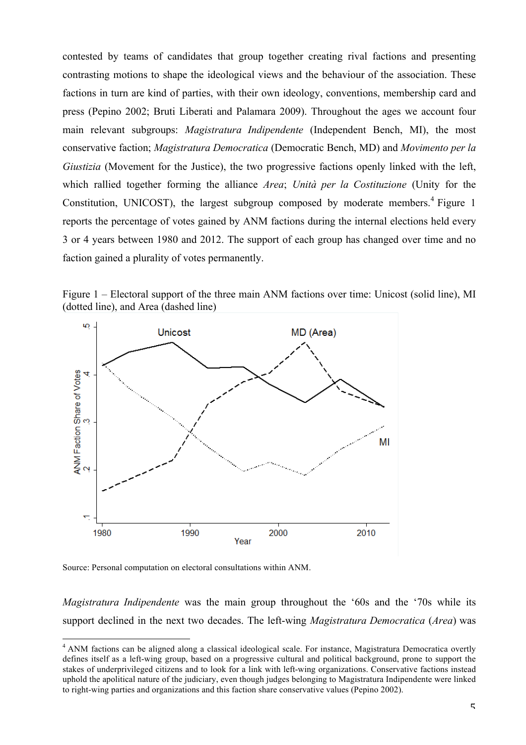contested by teams of candidates that group together creating rival factions and presenting contrasting motions to shape the ideological views and the behaviour of the association. These factions in turn are kind of parties, with their own ideology, conventions, membership card and press (Pepino 2002; Bruti Liberati and Palamara 2009). Throughout the ages we account four main relevant subgroups: *Magistratura Indipendente* (Independent Bench, MI), the most conservative faction; *Magistratura Democratica* (Democratic Bench, MD) and *Movimento per la Giustizia* (Movement for the Justice), the two progressive factions openly linked with the left, which rallied together forming the alliance *Area*; *Unità per la Costituzione* (Unity for the Constitution, UNICOST), the largest subgroup composed by moderate members.<sup>4</sup> Figure 1 reports the percentage of votes gained by ANM factions during the internal elections held every 3 or 4 years between 1980 and 2012. The support of each group has changed over time and no faction gained a plurality of votes permanently.

Figure 1 – Electoral support of the three main ANM factions over time: Unicost (solid line), MI (dotted line), and Area (dashed line)



Source: Personal computation on electoral consultations within ANM.

*Magistratura Indipendente* was the main group throughout the '60s and the '70s while its support declined in the next two decades. The left-wing *Magistratura Democratica* (*Area*) was

<sup>&</sup>lt;sup>4</sup> ANM factions can be aligned along a classical ideological scale. For instance, Magistratura Democratica overtly defines itself as a left-wing group, based on a progressive cultural and political background, prone to support the stakes of underprivileged citizens and to look for a link with left-wing organizations. Conservative factions instead uphold the apolitical nature of the judiciary, even though judges belonging to Magistratura Indipendente were linked to right-wing parties and organizations and this faction share conservative values (Pepino 2002).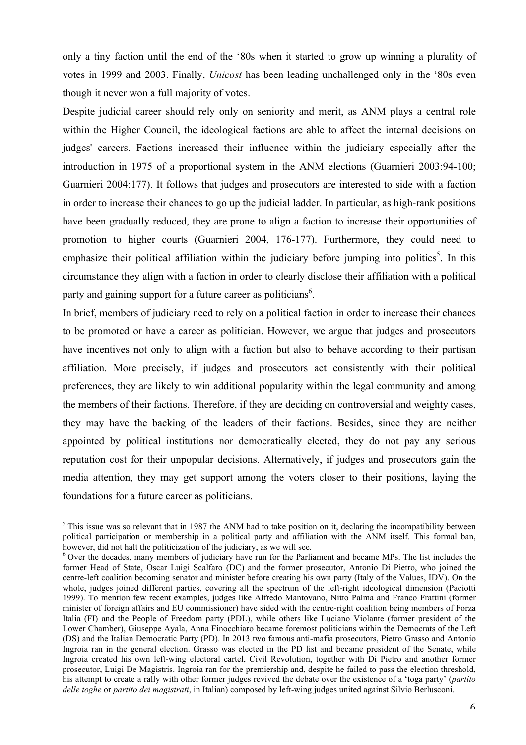only a tiny faction until the end of the '80s when it started to grow up winning a plurality of votes in 1999 and 2003. Finally, *Unicost* has been leading unchallenged only in the '80s even though it never won a full majority of votes.

Despite judicial career should rely only on seniority and merit, as ANM plays a central role within the Higher Council, the ideological factions are able to affect the internal decisions on judges' careers. Factions increased their influence within the judiciary especially after the introduction in 1975 of a proportional system in the ANM elections (Guarnieri 2003:94-100; Guarnieri 2004:177). It follows that judges and prosecutors are interested to side with a faction in order to increase their chances to go up the judicial ladder. In particular, as high-rank positions have been gradually reduced, they are prone to align a faction to increase their opportunities of promotion to higher courts (Guarnieri 2004, 176-177). Furthermore, they could need to emphasize their political affiliation within the judiciary before jumping into politics<sup>5</sup>. In this circumstance they align with a faction in order to clearly disclose their affiliation with a political party and gaining support for a future career as politicians<sup>6</sup>.

In brief, members of judiciary need to rely on a political faction in order to increase their chances to be promoted or have a career as politician. However, we argue that judges and prosecutors have incentives not only to align with a faction but also to behave according to their partisan affiliation. More precisely, if judges and prosecutors act consistently with their political preferences, they are likely to win additional popularity within the legal community and among the members of their factions. Therefore, if they are deciding on controversial and weighty cases, they may have the backing of the leaders of their factions. Besides, since they are neither appointed by political institutions nor democratically elected, they do not pay any serious reputation cost for their unpopular decisions. Alternatively, if judges and prosecutors gain the media attention, they may get support among the voters closer to their positions, laying the foundations for a future career as politicians.

 $<sup>5</sup>$  This issue was so relevant that in 1987 the ANM had to take position on it, declaring the incompatibility between</sup> political participation or membership in a political party and affiliation with the ANM itself. This formal ban, however, did not halt the politicization of the judiciary, as we will see.

 $6$  Over the decades, many members of judiciary have run for the Parliament and became MPs. The list includes the former Head of State, Oscar Luigi Scalfaro (DC) and the former prosecutor, Antonio Di Pietro, who joined the centre-left coalition becoming senator and minister before creating his own party (Italy of the Values, IDV). On the whole, judges joined different parties, covering all the spectrum of the left-right ideological dimension (Paciotti 1999). To mention few recent examples, judges like Alfredo Mantovano, Nitto Palma and Franco Frattini (former minister of foreign affairs and EU commissioner) have sided with the centre-right coalition being members of Forza Italia (FI) and the People of Freedom party (PDL), while others like Luciano Violante (former president of the Lower Chamber), Giuseppe Ayala, Anna Finocchiaro became foremost politicians within the Democrats of the Left (DS) and the Italian Democratic Party (PD). In 2013 two famous anti-mafia prosecutors, Pietro Grasso and Antonio Ingroia ran in the general election. Grasso was elected in the PD list and became president of the Senate, while Ingroia created his own left-wing electoral cartel, Civil Revolution, together with Di Pietro and another former prosecutor, Luigi De Magistris. Ingroia ran for the premiership and, despite he failed to pass the election threshold, his attempt to create a rally with other former judges revived the debate over the existence of a 'toga party' (*partito delle toghe* or *partito dei magistrati*, in Italian) composed by left-wing judges united against Silvio Berlusconi.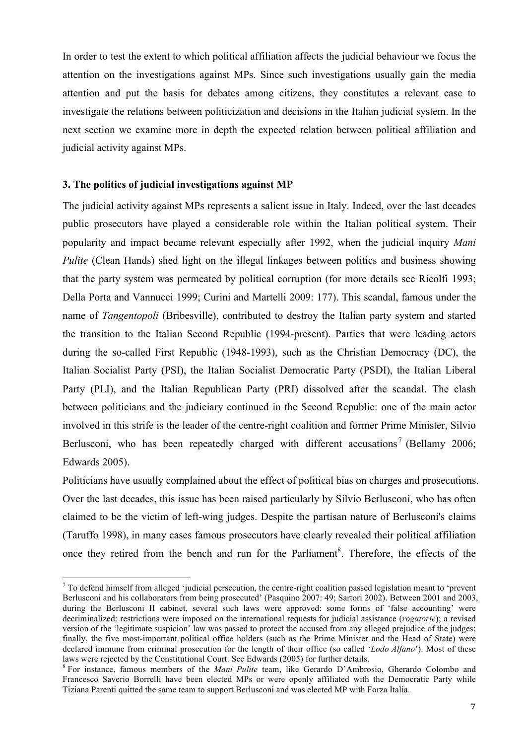In order to test the extent to which political affiliation affects the judicial behaviour we focus the attention on the investigations against MPs. Since such investigations usually gain the media attention and put the basis for debates among citizens, they constitutes a relevant case to investigate the relations between politicization and decisions in the Italian judicial system. In the next section we examine more in depth the expected relation between political affiliation and judicial activity against MPs.

### **3. The politics of judicial investigations against MP**

The judicial activity against MPs represents a salient issue in Italy. Indeed, over the last decades public prosecutors have played a considerable role within the Italian political system. Their popularity and impact became relevant especially after 1992, when the judicial inquiry *Mani Pulite* (Clean Hands) shed light on the illegal linkages between politics and business showing that the party system was permeated by political corruption (for more details see Ricolfi 1993; Della Porta and Vannucci 1999; Curini and Martelli 2009: 177). This scandal, famous under the name of *Tangentopoli* (Bribesville), contributed to destroy the Italian party system and started the transition to the Italian Second Republic (1994-present). Parties that were leading actors during the so-called First Republic (1948-1993), such as the Christian Democracy (DC), the Italian Socialist Party (PSI), the Italian Socialist Democratic Party (PSDI), the Italian Liberal Party (PLI), and the Italian Republican Party (PRI) dissolved after the scandal. The clash between politicians and the judiciary continued in the Second Republic: one of the main actor involved in this strife is the leader of the centre-right coalition and former Prime Minister, Silvio Berlusconi, who has been repeatedly charged with different accusations<sup>7</sup> (Bellamy 2006; Edwards 2005).

Politicians have usually complained about the effect of political bias on charges and prosecutions. Over the last decades, this issue has been raised particularly by Silvio Berlusconi, who has often claimed to be the victim of left-wing judges. Despite the partisan nature of Berlusconi's claims (Taruffo 1998), in many cases famous prosecutors have clearly revealed their political affiliation once they retired from the bench and run for the Parliament<sup>8</sup>. Therefore, the effects of the

 $<sup>7</sup>$  To defend himself from alleged 'judicial persecution, the centre-right coalition passed legislation meant to 'prevent</sup> Berlusconi and his collaborators from being prosecuted' (Pasquino 2007: 49; Sartori 2002). Between 2001 and 2003, during the Berlusconi II cabinet, several such laws were approved: some forms of 'false accounting' were decriminalized; restrictions were imposed on the international requests for judicial assistance (*rogatorie*); a revised version of the 'legitimate suspicion' law was passed to protect the accused from any alleged prejudice of the judges; finally, the five most-important political office holders (such as the Prime Minister and the Head of State) were declared immune from criminal prosecution for the length of their office (so called '*Lodo Alfano*'). Most of these laws were rejected by the Constitutional Court. See Edwards (2005) for further details. <sup>8</sup> For instance, famous members of the *Mani Pulite* team, like Gerardo D'Ambrosio, Gherardo Colombo and

Francesco Saverio Borrelli have been elected MPs or were openly affiliated with the Democratic Party while Tiziana Parenti quitted the same team to support Berlusconi and was elected MP with Forza Italia.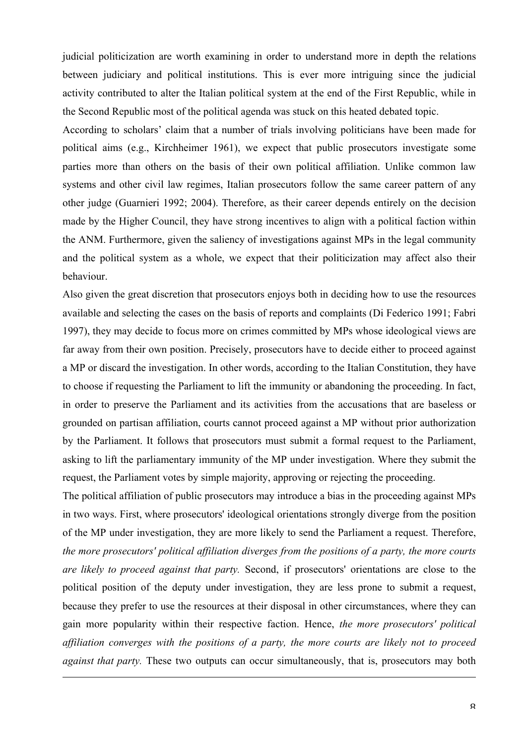judicial politicization are worth examining in order to understand more in depth the relations between judiciary and political institutions. This is ever more intriguing since the judicial activity contributed to alter the Italian political system at the end of the First Republic, while in the Second Republic most of the political agenda was stuck on this heated debated topic.

According to scholars' claim that a number of trials involving politicians have been made for political aims (e.g., Kirchheimer 1961), we expect that public prosecutors investigate some parties more than others on the basis of their own political affiliation. Unlike common law systems and other civil law regimes, Italian prosecutors follow the same career pattern of any other judge (Guarnieri 1992; 2004). Therefore, as their career depends entirely on the decision made by the Higher Council, they have strong incentives to align with a political faction within the ANM. Furthermore, given the saliency of investigations against MPs in the legal community and the political system as a whole, we expect that their politicization may affect also their behaviour.

Also given the great discretion that prosecutors enjoys both in deciding how to use the resources available and selecting the cases on the basis of reports and complaints (Di Federico 1991; Fabri 1997), they may decide to focus more on crimes committed by MPs whose ideological views are far away from their own position. Precisely, prosecutors have to decide either to proceed against a MP or discard the investigation. In other words, according to the Italian Constitution, they have to choose if requesting the Parliament to lift the immunity or abandoning the proceeding. In fact, in order to preserve the Parliament and its activities from the accusations that are baseless or grounded on partisan affiliation, courts cannot proceed against a MP without prior authorization by the Parliament. It follows that prosecutors must submit a formal request to the Parliament, asking to lift the parliamentary immunity of the MP under investigation. Where they submit the request, the Parliament votes by simple majority, approving or rejecting the proceeding.

The political affiliation of public prosecutors may introduce a bias in the proceeding against MPs in two ways. First, where prosecutors' ideological orientations strongly diverge from the position of the MP under investigation, they are more likely to send the Parliament a request. Therefore, *the more prosecutors' political affiliation diverges from the positions of a party, the more courts are likely to proceed against that party.* Second, if prosecutors' orientations are close to the political position of the deputy under investigation, they are less prone to submit a request, because they prefer to use the resources at their disposal in other circumstances, where they can gain more popularity within their respective faction. Hence, *the more prosecutors' political affiliation converges with the positions of a party, the more courts are likely not to proceed against that party.* These two outputs can occur simultaneously, that is, prosecutors may both

<u> Andreas Andreas Andreas Andreas Andreas Andreas Andreas Andreas Andreas Andreas Andreas Andreas Andreas Andr</u>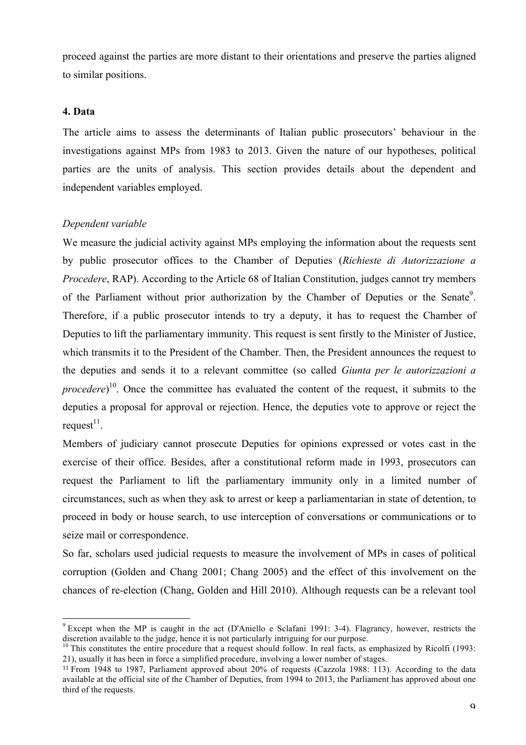proceed against the parties are more distant to their orientations and preserve the parties aligned to similar positions.

### **4. Data**

The article aims to assess the determinants of Italian public prosecutors' behaviour in the investigations against MPs from 1983 to 2013. Given the nature of our hypotheses, political parties are the units of analysis. This section provides details about the dependent and independent variables employed.

### *Dependent variable*

We measure the judicial activity against MPs employing the information about the requests sent by public prosecutor offices to the Chamber of Deputies (*Richieste di Autorizzazione a Procedere*, RAP). According to the Article 68 of Italian Constitution, judges cannot try members of the Parliament without prior authorization by the Chamber of Deputies or the Senate<sup>9</sup>. Therefore, if a public prosecutor intends to try a deputy, it has to request the Chamber of Deputies to lift the parliamentary immunity. This request is sent firstly to the Minister of Justice, which transmits it to the President of the Chamber. Then, the President announces the request to the deputies and sends it to a relevant committee (so called *Giunta per le autorizzazioni a procedere*)<sup>10</sup>. Once the committee has evaluated the content of the request, it submits to the deputies a proposal for approval or rejection. Hence, the deputies vote to approve or reject the request $^{11}$ .

Members of judiciary cannot prosecute Deputies for opinions expressed or votes cast in the exercise of their office. Besides, after a constitutional reform made in 1993, prosecutors can request the Parliament to lift the parliamentary immunity only in a limited number of circumstances, such as when they ask to arrest or keep a parliamentarian in state of detention, to proceed in body or house search, to use interception of conversations or communications or to seize mail or correspondence.

So far, scholars used judicial requests to measure the involvement of MPs in cases of political corruption (Golden and Chang 2001; Chang 2005) and the effect of this involvement on the chances of re-election (Chang, Golden and Hill 2010). Although requests can be a relevant tool

 <sup>9</sup> Except when the MP is caught in the act (D'Aniello e Sclafani 1991: 3-4). Flagrancy, however, restricts the discretion available to the judge, hence it is not particularly intriguing for our purpose.<br><sup>10</sup> This constitutes the entire procedure that a request should follow. In real facts, as emphasized by Ricolfi (1993:

<sup>21),</sup> usually it has been in force a simplified procedure, involving a lower number of stages.

<sup>11</sup> From 1948 to 1987, Parliament approved about 20% of requests (Cazzola 1988: 113). According to the data available at the official site of the Chamber of Deputies, from 1994 to 2013, the Parliament has approved about one third of the requests.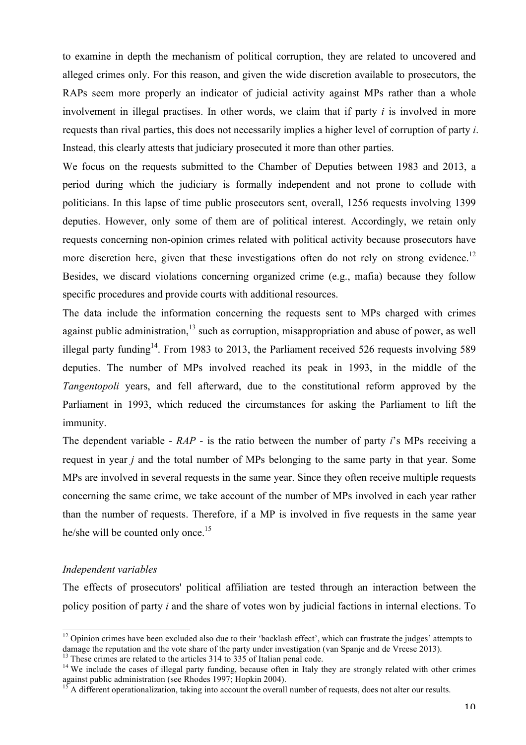to examine in depth the mechanism of political corruption, they are related to uncovered and alleged crimes only. For this reason, and given the wide discretion available to prosecutors, the RAPs seem more properly an indicator of judicial activity against MPs rather than a whole involvement in illegal practises. In other words, we claim that if party *i* is involved in more requests than rival parties, this does not necessarily implies a higher level of corruption of party *i*. Instead, this clearly attests that judiciary prosecuted it more than other parties.

We focus on the requests submitted to the Chamber of Deputies between 1983 and 2013, a period during which the judiciary is formally independent and not prone to collude with politicians. In this lapse of time public prosecutors sent, overall, 1256 requests involving 1399 deputies. However, only some of them are of political interest. Accordingly, we retain only requests concerning non-opinion crimes related with political activity because prosecutors have more discretion here, given that these investigations often do not rely on strong evidence.<sup>12</sup> Besides, we discard violations concerning organized crime (e.g., mafia) because they follow specific procedures and provide courts with additional resources.

The data include the information concerning the requests sent to MPs charged with crimes against public administration, $13$  such as corruption, misappropriation and abuse of power, as well illegal party funding<sup>14</sup>. From 1983 to 2013, the Parliament received 526 requests involving 589 deputies. The number of MPs involved reached its peak in 1993, in the middle of the *Tangentopoli* years, and fell afterward, due to the constitutional reform approved by the Parliament in 1993, which reduced the circumstances for asking the Parliament to lift the immunity.

The dependent variable - *RAP* - is the ratio between the number of party *i*'s MPs receiving a request in year *j* and the total number of MPs belonging to the same party in that year. Some MPs are involved in several requests in the same year. Since they often receive multiple requests concerning the same crime, we take account of the number of MPs involved in each year rather than the number of requests. Therefore, if a MP is involved in five requests in the same year he/she will be counted only once.<sup>15</sup>

### *Independent variables*

The effects of prosecutors' political affiliation are tested through an interaction between the policy position of party *i* and the share of votes won by judicial factions in internal elections. To

<sup>&</sup>lt;sup>12</sup> Opinion crimes have been excluded also due to their 'backlash effect', which can frustrate the judges' attempts to

damage the reputation and the vote share of the party under investigation (van Spanje and de Vreese 2013).<br><sup>13</sup> These crimes are related to the articles 314 to 335 of Italian penal code.<br><sup>14</sup> We include the cases of illeg

 $15$  A different operationalization, taking into account the overall number of requests, does not alter our results.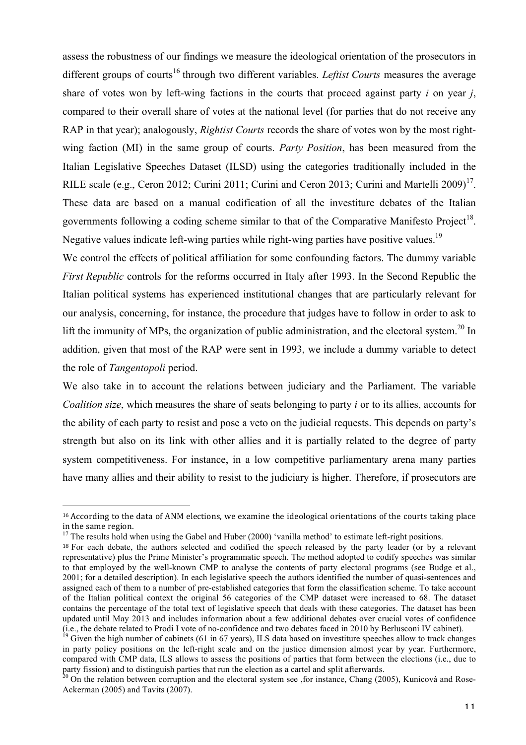assess the robustness of our findings we measure the ideological orientation of the prosecutors in different groups of courts<sup>16</sup> through two different variables. *Leftist Courts* measures the average share of votes won by left-wing factions in the courts that proceed against party *i* on year *j*, compared to their overall share of votes at the national level (for parties that do not receive any RAP in that year); analogously, *Rightist Courts* records the share of votes won by the most rightwing faction (MI) in the same group of courts. *Party Position*, has been measured from the Italian Legislative Speeches Dataset (ILSD) using the categories traditionally included in the RILE scale (e.g., Ceron 2012; Curini 2011; Curini and Ceron 2013; Curini and Martelli 2009)<sup>17</sup>. These data are based on a manual codification of all the investiture debates of the Italian governments following a coding scheme similar to that of the Comparative Manifesto Project<sup>18</sup>. Negative values indicate left-wing parties while right-wing parties have positive values.<sup>19</sup>

We control the effects of political affiliation for some confounding factors. The dummy variable *First Republic* controls for the reforms occurred in Italy after 1993. In the Second Republic the Italian political systems has experienced institutional changes that are particularly relevant for our analysis, concerning, for instance, the procedure that judges have to follow in order to ask to lift the immunity of MPs, the organization of public administration, and the electoral system.<sup>20</sup> In addition, given that most of the RAP were sent in 1993, we include a dummy variable to detect the role of *Tangentopoli* period.

We also take in to account the relations between judiciary and the Parliament. The variable *Coalition size*, which measures the share of seats belonging to party *i* or to its allies, accounts for the ability of each party to resist and pose a veto on the judicial requests. This depends on party's strength but also on its link with other allies and it is partially related to the degree of party system competitiveness. For instance, in a low competitive parliamentary arena many parties have many allies and their ability to resist to the judiciary is higher. Therefore, if prosecutors are

 

<sup>&</sup>lt;sup>16</sup> According to the data of ANM elections, we examine the ideological orientations of the courts taking place in the same region.

<sup>&</sup>lt;sup>17</sup> The results hold when using the Gabel and Huber (2000) 'vanilla method' to estimate left-right positions.

<sup>&</sup>lt;sup>18</sup> For each debate, the authors selected and codified the speech released by the party leader (or by a relevant representative) plus the Prime Minister's programmatic speech. The method adopted to codify speeches was similar to that employed by the well-known CMP to analyse the contents of party electoral programs (see Budge et al., 2001; for a detailed description). In each legislative speech the authors identified the number of quasi-sentences and assigned each of them to a number of pre-established categories that form the classification scheme. To take account of the Italian political context the original 56 categories of the CMP dataset were increased to 68. The dataset contains the percentage of the total text of legislative speech that deals with these categories. The dataset has been updated until May 2013 and includes information about a few additional debates over crucial votes of confidence (i.e., the debate related to Prodi I vote of no-confidence and two debates faced in 2010 by Berlusconi IV cabinet).<br><sup>19</sup> Given the high number of cabinets (61 in 67 years), ILS data based on investiture speeches allow to

in party policy positions on the left-right scale and on the justice dimension almost year by year. Furthermore, compared with CMP data, ILS allows to assess the positions of parties that form between the elections (i.e., due to party fission) and to distinguish parties that run the election as a cartel and split afterwards.

 $^{20}$  On the relation between corruption and the electoral system see , for instance, Chang (2005), Kunicová and Rose-Ackerman (2005) and Tavits (2007).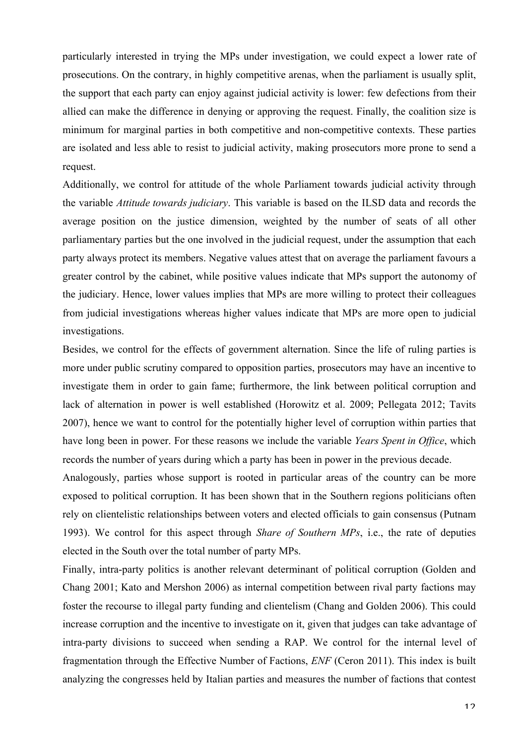particularly interested in trying the MPs under investigation, we could expect a lower rate of prosecutions. On the contrary, in highly competitive arenas, when the parliament is usually split, the support that each party can enjoy against judicial activity is lower: few defections from their allied can make the difference in denying or approving the request. Finally, the coalition size is minimum for marginal parties in both competitive and non-competitive contexts. These parties are isolated and less able to resist to judicial activity, making prosecutors more prone to send a request.

Additionally, we control for attitude of the whole Parliament towards judicial activity through the variable *Attitude towards judiciary*. This variable is based on the ILSD data and records the average position on the justice dimension, weighted by the number of seats of all other parliamentary parties but the one involved in the judicial request, under the assumption that each party always protect its members. Negative values attest that on average the parliament favours a greater control by the cabinet, while positive values indicate that MPs support the autonomy of the judiciary. Hence, lower values implies that MPs are more willing to protect their colleagues from judicial investigations whereas higher values indicate that MPs are more open to judicial investigations.

Besides, we control for the effects of government alternation. Since the life of ruling parties is more under public scrutiny compared to opposition parties, prosecutors may have an incentive to investigate them in order to gain fame; furthermore, the link between political corruption and lack of alternation in power is well established (Horowitz et al. 2009; Pellegata 2012; Tavits 2007), hence we want to control for the potentially higher level of corruption within parties that have long been in power. For these reasons we include the variable *Years Spent in Office*, which records the number of years during which a party has been in power in the previous decade.

Analogously, parties whose support is rooted in particular areas of the country can be more exposed to political corruption. It has been shown that in the Southern regions politicians often rely on clientelistic relationships between voters and elected officials to gain consensus (Putnam 1993). We control for this aspect through *Share of Southern MPs*, i.e., the rate of deputies elected in the South over the total number of party MPs.

Finally, intra-party politics is another relevant determinant of political corruption (Golden and Chang 2001; Kato and Mershon 2006) as internal competition between rival party factions may foster the recourse to illegal party funding and clientelism (Chang and Golden 2006). This could increase corruption and the incentive to investigate on it, given that judges can take advantage of intra-party divisions to succeed when sending a RAP. We control for the internal level of fragmentation through the Effective Number of Factions, *ENF* (Ceron 2011). This index is built analyzing the congresses held by Italian parties and measures the number of factions that contest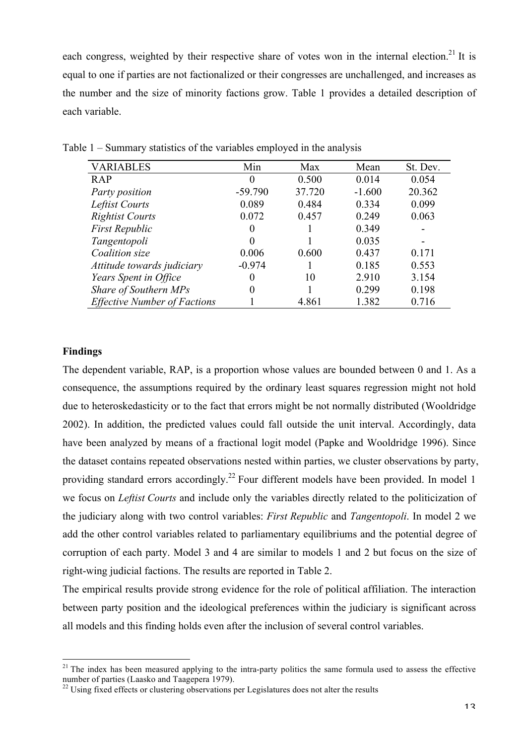each congress, weighted by their respective share of votes won in the internal election.<sup>21</sup> It is equal to one if parties are not factionalized or their congresses are unchallenged, and increases as the number and the size of minority factions grow. Table 1 provides a detailed description of each variable.

| <b>VARIABLES</b>                    | Min       | Max    | Mean     | St. Dev. |
|-------------------------------------|-----------|--------|----------|----------|
| <b>RAP</b>                          | $\theta$  | 0.500  | 0.014    | 0.054    |
| Party position                      | $-59.790$ | 37.720 | $-1.600$ | 20.362   |
| Leftist Courts                      | 0.089     | 0.484  | 0.334    | 0.099    |
| <b>Rightist Courts</b>              | 0.072     | 0.457  | 0.249    | 0.063    |
| <b>First Republic</b>               | $\theta$  |        | 0.349    |          |
| Tangentopoli                        | 0         |        | 0.035    |          |
| Coalition size                      | 0.006     | 0.600  | 0.437    | 0.171    |
| Attitude towards judiciary          | $-0.974$  |        | 0.185    | 0.553    |
| Years Spent in Office               | 0         | 10     | 2.910    | 3.154    |
| Share of Southern MPs               | 0         |        | 0.299    | 0.198    |
| <b>Effective Number of Factions</b> |           | 4.861  | 1.382    | 0.716    |

Table 1 – Summary statistics of the variables employed in the analysis

### **Findings**

The dependent variable, RAP, is a proportion whose values are bounded between 0 and 1. As a consequence, the assumptions required by the ordinary least squares regression might not hold due to heteroskedasticity or to the fact that errors might be not normally distributed (Wooldridge 2002). In addition, the predicted values could fall outside the unit interval. Accordingly, data have been analyzed by means of a fractional logit model (Papke and Wooldridge 1996). Since the dataset contains repeated observations nested within parties, we cluster observations by party, providing standard errors accordingly.<sup>22</sup> Four different models have been provided. In model 1 we focus on *Leftist Courts* and include only the variables directly related to the politicization of the judiciary along with two control variables: *First Republic* and *Tangentopoli*. In model 2 we add the other control variables related to parliamentary equilibriums and the potential degree of corruption of each party. Model 3 and 4 are similar to models 1 and 2 but focus on the size of right-wing judicial factions. The results are reported in Table 2.

The empirical results provide strong evidence for the role of political affiliation. The interaction between party position and the ideological preferences within the judiciary is significant across all models and this finding holds even after the inclusion of several control variables.

 $21$  The index has been measured applying to the intra-party politics the same formula used to assess the effective number of parties (Laasko and Taagepera 1979).<br><sup>22</sup> Using fixed effects or clustering observations per Legislatures does not alter the results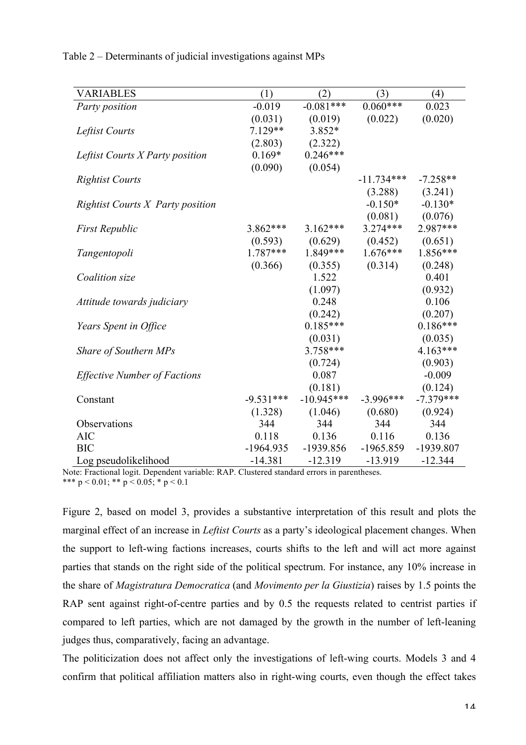Table 2 – Determinants of judicial investigations against MPs

| <b>VARIABLES</b>                        | (1)         | (2)          | (3)          | (4)         |
|-----------------------------------------|-------------|--------------|--------------|-------------|
| Party position                          | $-0.019$    | $-0.081***$  | $0.060***$   | 0.023       |
|                                         | (0.031)     | (0.019)      | (0.022)      | (0.020)     |
| Leftist Courts                          | $7.129**$   | 3.852*       |              |             |
|                                         | (2.803)     | (2.322)      |              |             |
| Leftist Courts X Party position         | $0.169*$    | $0.246***$   |              |             |
|                                         | (0.090)     | (0.054)      |              |             |
| <b>Rightist Courts</b>                  |             |              | $-11.734***$ | $-7.258**$  |
|                                         |             |              | (3.288)      | (3.241)     |
| <b>Rightist Courts X Party position</b> |             |              | $-0.150*$    | $-0.130*$   |
|                                         |             |              | (0.081)      | (0.076)     |
| <b>First Republic</b>                   | 3.862***    | $3.162***$   | $3.274***$   | 2.987***    |
|                                         | (0.593)     | (0.629)      | (0.452)      | (0.651)     |
| Tangentopoli                            | 1.787***    | 1.849***     | $1.676***$   | $1.856***$  |
|                                         | (0.366)     | (0.355)      | (0.314)      | (0.248)     |
| Coalition size                          |             | 1.522        |              | 0.401       |
|                                         |             | (1.097)      |              | (0.932)     |
| Attitude towards judiciary              |             | 0.248        |              | 0.106       |
|                                         |             | (0.242)      |              | (0.207)     |
| Years Spent in Office                   |             | $0.185***$   |              | $0.186***$  |
|                                         |             | (0.031)      |              | (0.035)     |
| Share of Southern MPs                   |             | $3.758***$   |              | $4.163***$  |
|                                         |             | (0.724)      |              | (0.903)     |
| <b>Effective Number of Factions</b>     |             | 0.087        |              | $-0.009$    |
|                                         |             | (0.181)      |              | (0.124)     |
| Constant                                | $-9.531***$ | $-10.945***$ | $-3.996***$  | $-7.379***$ |
|                                         | (1.328)     | (1.046)      | (0.680)      | (0.924)     |
| Observations                            | 344         | 344          | 344          | 344         |
| <b>AIC</b>                              | 0.118       | 0.136        | 0.116        | 0.136       |
| <b>BIC</b>                              | $-1964.935$ | -1939.856    | $-1965.859$  | -1939.807   |
| Log pseudolikelihood                    | $-14.381$   | $-12.319$    | $-13.919$    | $-12.344$   |

Note: Fractional logit. Dependent variable: RAP. Clustered standard errors in parentheses. \*\*\*  $p < 0.01$ ; \*\*  $p < 0.05$ ; \*  $p < 0.1$ 

Figure 2, based on model 3, provides a substantive interpretation of this result and plots the marginal effect of an increase in *Leftist Courts* as a party's ideological placement changes. When the support to left-wing factions increases, courts shifts to the left and will act more against parties that stands on the right side of the political spectrum. For instance, any 10% increase in the share of *Magistratura Democratica* (and *Movimento per la Giustizia*) raises by 1.5 points the RAP sent against right-of-centre parties and by 0.5 the requests related to centrist parties if compared to left parties, which are not damaged by the growth in the number of left-leaning judges thus, comparatively, facing an advantage.

The politicization does not affect only the investigations of left-wing courts. Models 3 and 4 confirm that political affiliation matters also in right-wing courts, even though the effect takes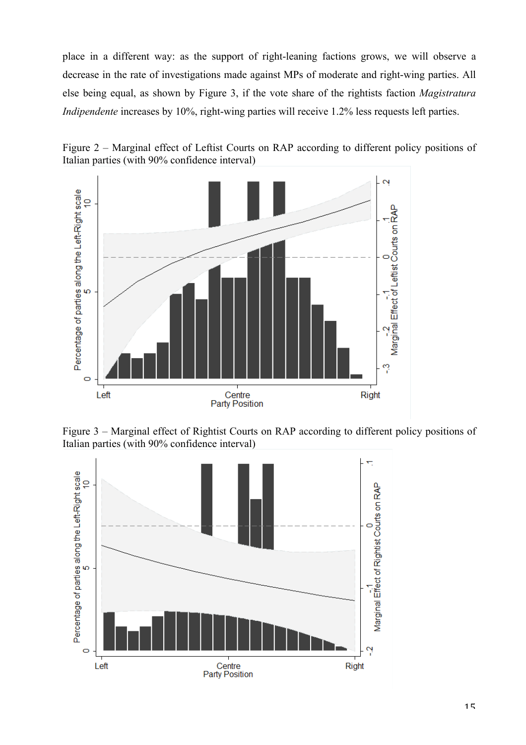place in a different way: as the support of right-leaning factions grows, we will observe a decrease in the rate of investigations made against MPs of moderate and right-wing parties. All else being equal, as shown by Figure 3, if the vote share of the rightists faction *Magistratura Indipendente* increases by 10%, right-wing parties will receive 1.2% less requests left parties.





Figure 3 – Marginal effect of Rightist Courts on RAP according to different policy positions of Italian parties (with 90% confidence interval)

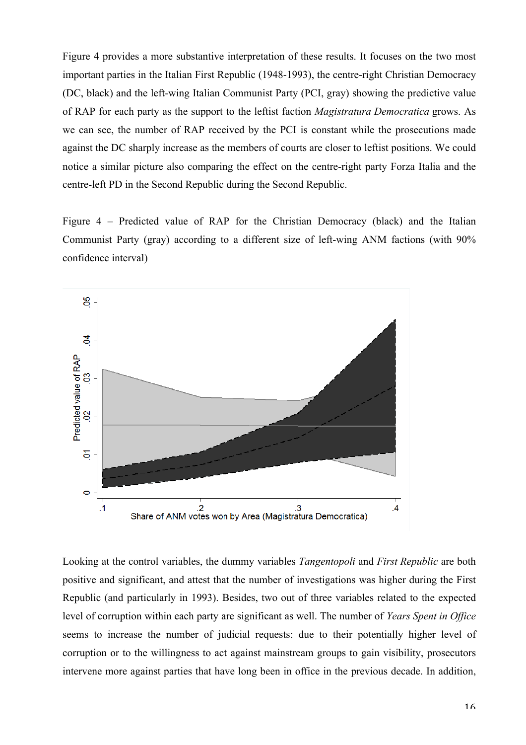Figure 4 provides a more substantive interpretation of these results. It focuses on the two most important parties in the Italian First Republic (1948-1993), the centre-right Christian Democracy (DC, black) and the left-wing Italian Communist Party (PCI, gray) showing the predictive value of RAP for each party as the support to the leftist faction *Magistratura Democratica* grows. As we can see, the number of RAP received by the PCI is constant while the prosecutions made against the DC sharply increase as the members of courts are closer to leftist positions. We could notice a similar picture also comparing the effect on the centre-right party Forza Italia and the centre-left PD in the Second Republic during the Second Republic.

Figure 4 – Predicted value of RAP for the Christian Democracy (black) and the Italian Communist Party (gray) according to a different size of left-wing ANM factions (with 90% confidence interval)



Looking at the control variables, the dummy variables *Tangentopoli* and *First Republic* are both positive and significant, and attest that the number of investigations was higher during the First Republic (and particularly in 1993). Besides, two out of three variables related to the expected level of corruption within each party are significant as well. The number of *Years Spent in Office* seems to increase the number of judicial requests: due to their potentially higher level of corruption or to the willingness to act against mainstream groups to gain visibility, prosecutors intervene more against parties that have long been in office in the previous decade. In addition,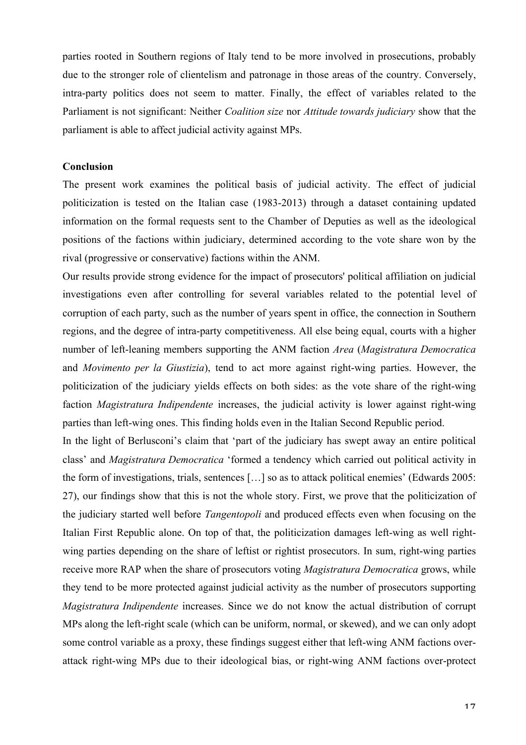parties rooted in Southern regions of Italy tend to be more involved in prosecutions, probably due to the stronger role of clientelism and patronage in those areas of the country. Conversely, intra-party politics does not seem to matter. Finally, the effect of variables related to the Parliament is not significant: Neither *Coalition size* nor *Attitude towards judiciary* show that the parliament is able to affect judicial activity against MPs.

### **Conclusion**

The present work examines the political basis of judicial activity. The effect of judicial politicization is tested on the Italian case (1983-2013) through a dataset containing updated information on the formal requests sent to the Chamber of Deputies as well as the ideological positions of the factions within judiciary, determined according to the vote share won by the rival (progressive or conservative) factions within the ANM.

Our results provide strong evidence for the impact of prosecutors' political affiliation on judicial investigations even after controlling for several variables related to the potential level of corruption of each party, such as the number of years spent in office, the connection in Southern regions, and the degree of intra-party competitiveness. All else being equal, courts with a higher number of left-leaning members supporting the ANM faction *Area* (*Magistratura Democratica* and *Movimento per la Giustizia*), tend to act more against right-wing parties. However, the politicization of the judiciary yields effects on both sides: as the vote share of the right-wing faction *Magistratura Indipendente* increases, the judicial activity is lower against right-wing parties than left-wing ones. This finding holds even in the Italian Second Republic period.

In the light of Berlusconi's claim that 'part of the judiciary has swept away an entire political class' and *Magistratura Democratica* 'formed a tendency which carried out political activity in the form of investigations, trials, sentences […] so as to attack political enemies' (Edwards 2005: 27), our findings show that this is not the whole story. First, we prove that the politicization of the judiciary started well before *Tangentopoli* and produced effects even when focusing on the Italian First Republic alone. On top of that, the politicization damages left-wing as well rightwing parties depending on the share of leftist or rightist prosecutors. In sum, right-wing parties receive more RAP when the share of prosecutors voting *Magistratura Democratica* grows, while they tend to be more protected against judicial activity as the number of prosecutors supporting *Magistratura Indipendente* increases. Since we do not know the actual distribution of corrupt MPs along the left-right scale (which can be uniform, normal, or skewed), and we can only adopt some control variable as a proxy, these findings suggest either that left-wing ANM factions overattack right-wing MPs due to their ideological bias, or right-wing ANM factions over-protect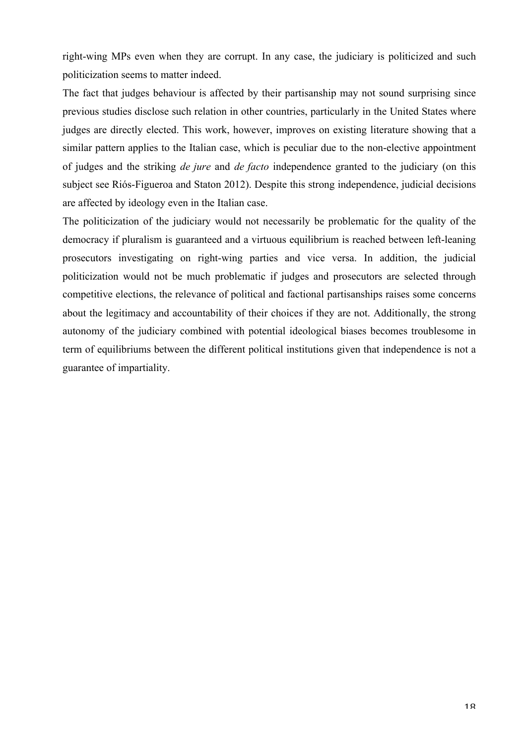right-wing MPs even when they are corrupt. In any case, the judiciary is politicized and such politicization seems to matter indeed.

The fact that judges behaviour is affected by their partisanship may not sound surprising since previous studies disclose such relation in other countries, particularly in the United States where judges are directly elected. This work, however, improves on existing literature showing that a similar pattern applies to the Italian case, which is peculiar due to the non-elective appointment of judges and the striking *de jure* and *de facto* independence granted to the judiciary (on this subject see Riós-Figueroa and Staton 2012). Despite this strong independence, judicial decisions are affected by ideology even in the Italian case.

The politicization of the judiciary would not necessarily be problematic for the quality of the democracy if pluralism is guaranteed and a virtuous equilibrium is reached between left-leaning prosecutors investigating on right-wing parties and vice versa. In addition, the judicial politicization would not be much problematic if judges and prosecutors are selected through competitive elections, the relevance of political and factional partisanships raises some concerns about the legitimacy and accountability of their choices if they are not. Additionally, the strong autonomy of the judiciary combined with potential ideological biases becomes troublesome in term of equilibriums between the different political institutions given that independence is not a guarantee of impartiality.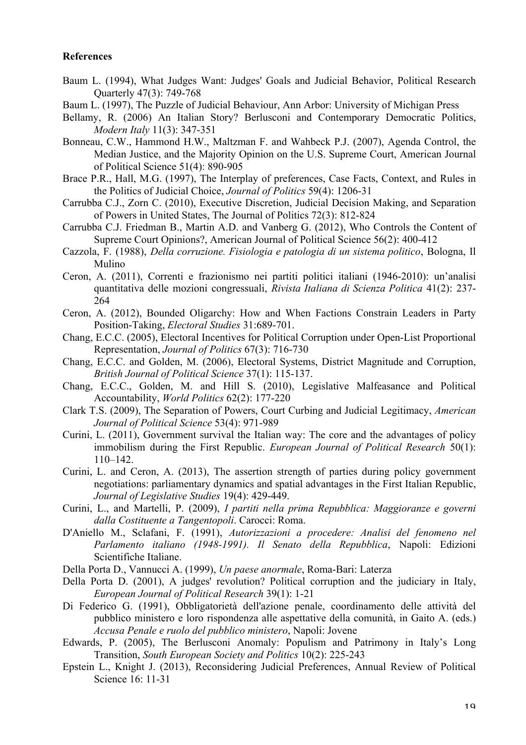### **References**

- Baum L. (1994), What Judges Want: Judges' Goals and Judicial Behavior, Political Research Quarterly 47(3): 749-768
- Baum L. (1997), The Puzzle of Judicial Behaviour, Ann Arbor: University of Michigan Press
- Bellamy, R. (2006) An Italian Story? Berlusconi and Contemporary Democratic Politics, *Modern Italy* 11(3): 347-351
- Bonneau, C.W., Hammond H.W., Maltzman F. and Wahbeck P.J. (2007), Agenda Control, the Median Justice, and the Majority Opinion on the U.S. Supreme Court, American Journal of Political Science 51(4): 890-905
- Brace P.R., Hall, M.G. (1997), The Interplay of preferences, Case Facts, Context, and Rules in the Politics of Judicial Choice, *Journal of Politics* 59(4): 1206-31
- Carrubba C.J., Zorn C. (2010), Executive Discretion, Judicial Decision Making, and Separation of Powers in United States, The Journal of Politics 72(3): 812-824
- Carrubba C.J. Friedman B., Martin A.D. and Vanberg G. (2012), Who Controls the Content of Supreme Court Opinions?, American Journal of Political Science 56(2): 400-412
- Cazzola, F. (1988), *Della corruzione. Fisiologia e patologia di un sistema politico*, Bologna, Il Mulino
- Ceron, A. (2011), Correnti e frazionismo nei partiti politici italiani (1946-2010): un'analisi quantitativa delle mozioni congressuali, *Rivista Italiana di Scienza Politica* 41(2): 237- 264
- Ceron, A. (2012), Bounded Oligarchy: How and When Factions Constrain Leaders in Party Position-Taking, *Electoral Studies* 31:689-701.
- Chang, E.C.C. (2005), Electoral Incentives for Political Corruption under Open-List Proportional Representation, *Journal of Politics* 67(3): 716-730
- Chang, E.C.C. and Golden, M. (2006), Electoral Systems, District Magnitude and Corruption, *British Journal of Political Science* 37(1): 115-137.
- Chang, E.C.C., Golden, M. and Hill S. (2010), Legislative Malfeasance and Political Accountability, *World Politics* 62(2): 177-220
- Clark T.S. (2009), The Separation of Powers, Court Curbing and Judicial Legitimacy, *American Journal of Political Science* 53(4): 971-989
- Curini, L. (2011), Government survival the Italian way: The core and the advantages of policy immobilism during the First Republic. *European Journal of Political Research* 50(1): 110–142.
- Curini, L. and Ceron, A. (2013), The assertion strength of parties during policy government negotiations: parliamentary dynamics and spatial advantages in the First Italian Republic, *Journal of Legislative Studies* 19(4): 429-449.
- Curini, L., and Martelli, P. (2009), *I partiti nella prima Repubblica: Maggioranze e governi dalla Costituente a Tangentopoli*. Carocci: Roma.
- D'Aniello M., Sclafani, F. (1991), *Autorizzazioni a procedere: Analisi del fenomeno nel Parlamento italiano (1948-1991). Il Senato della Repubblica*, Napoli: Edizioni Scientifiche Italiane.
- Della Porta D., Vannucci A. (1999), *Un paese anormale*, Roma-Bari: Laterza
- Della Porta D. (2001), A judges' revolution? Political corruption and the judiciary in Italy, *European Journal of Political Research* 39(1): 1-21
- Di Federico G. (1991), Obbligatorietà dell'azione penale, coordinamento delle attività del pubblico ministero e loro rispondenza alle aspettative della comunità, in Gaito A. (eds.) *Accusa Penale e ruolo del pubblico ministero*, Napoli: Jovene
- Edwards, P. (2005), The Berlusconi Anomaly: Populism and Patrimony in Italy's Long Transition, *South European Society and Politics* 10(2): 225-243
- Epstein L., Knight J. (2013), Reconsidering Judicial Preferences, Annual Review of Political Science 16: 11-31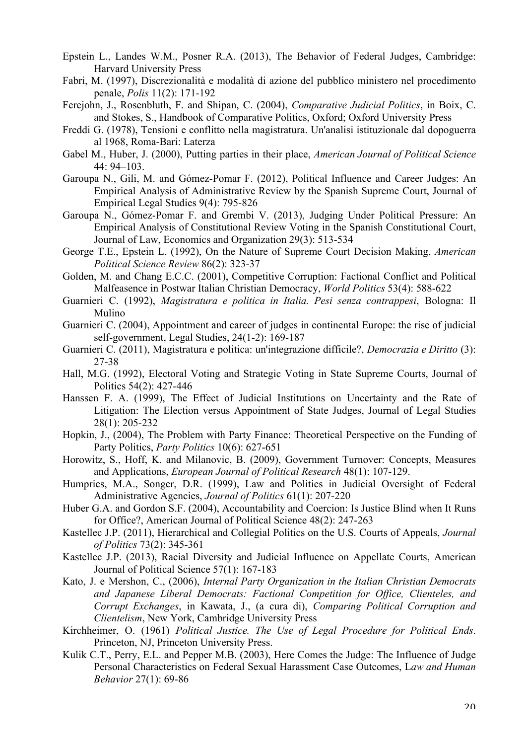- Epstein L., Landes W.M., Posner R.A. (2013), The Behavior of Federal Judges, Cambridge: Harvard University Press
- Fabri, M. (1997), Discrezionalità e modalità di azione del pubblico ministero nel procedimento penale, *Polis* 11(2): 171-192
- Ferejohn, J., Rosenbluth, F. and Shipan, C. (2004), *Comparative Judicial Politics*, in Boix, C. and Stokes, S., Handbook of Comparative Politics, Oxford; Oxford University Press
- Freddi G. (1978), Tensioni e conflitto nella magistratura. Un'analisi istituzionale dal dopoguerra al 1968, Roma-Bari: Laterza
- Gabel M., Huber, J. (2000), Putting parties in their place, *American Journal of Political Science* 44: 94–103.
- Garoupa N., Gili, M. and Gómez-Pomar F. (2012), Political Influence and Career Judges: An Empirical Analysis of Administrative Review by the Spanish Supreme Court, Journal of Empirical Legal Studies 9(4): 795-826
- Garoupa N., Gómez-Pomar F. and Grembi V. (2013), Judging Under Political Pressure: An Empirical Analysis of Constitutional Review Voting in the Spanish Constitutional Court, Journal of Law, Economics and Organization 29(3): 513-534
- George T.E., Epstein L. (1992), On the Nature of Supreme Court Decision Making, *American Political Science Review* 86(2): 323-37
- Golden, M. and Chang E.C.C. (2001), Competitive Corruption: Factional Conflict and Political Malfeasence in Postwar Italian Christian Democracy, *World Politics* 53(4): 588-622
- Guarnieri C. (1992), *Magistratura e politica in Italia. Pesi senza contrappesi*, Bologna: Il Mulino
- Guarnieri C. (2004), Appointment and career of judges in continental Europe: the rise of judicial self-government, Legal Studies, 24(1-2): 169-187
- Guarnieri C. (2011), Magistratura e politica: un'integrazione difficile?, *Democrazia e Diritto* (3): 27-38
- Hall, M.G. (1992), Electoral Voting and Strategic Voting in State Supreme Courts, Journal of Politics 54(2): 427-446
- Hanssen F. A. (1999), The Effect of Judicial Institutions on Uncertainty and the Rate of Litigation: The Election versus Appointment of State Judges, Journal of Legal Studies 28(1): 205-232
- Hopkin, J., (2004), The Problem with Party Finance: Theoretical Perspective on the Funding of Party Politics, *Party Politics* 10(6): 627-651
- Horowitz, S., Hoff, K. and Milanovic, B. (2009), Government Turnover: Concepts, Measures and Applications, *European Journal of Political Research* 48(1): 107-129.
- Humpries, M.A., Songer, D.R. (1999), Law and Politics in Judicial Oversight of Federal Administrative Agencies, *Journal of Politics* 61(1): 207-220
- Huber G.A. and Gordon S.F. (2004), Accountability and Coercion: Is Justice Blind when It Runs for Office?, American Journal of Political Science 48(2): 247-263
- Kastellec J.P. (2011), Hierarchical and Collegial Politics on the U.S. Courts of Appeals, *Journal of Politics* 73(2): 345-361
- Kastellec J.P. (2013), Racial Diversity and Judicial Influence on Appellate Courts, American Journal of Political Science 57(1): 167-183
- Kato, J. e Mershon, C., (2006), *Internal Party Organization in the Italian Christian Democrats and Japanese Liberal Democrats: Factional Competition for Office, Clienteles, and Corrupt Exchanges*, in Kawata, J., (a cura di), *Comparing Political Corruption and Clientelism*, New York, Cambridge University Press
- Kirchheimer, O. (1961) *Political Justice. The Use of Legal Procedure for Political Ends*. Princeton, NJ, Princeton University Press.
- Kulik C.T., Perry, E.L. and Pepper M.B. (2003), Here Comes the Judge: The Influence of Judge Personal Characteristics on Federal Sexual Harassment Case Outcomes, L*aw and Human Behavior* 27(1): 69-86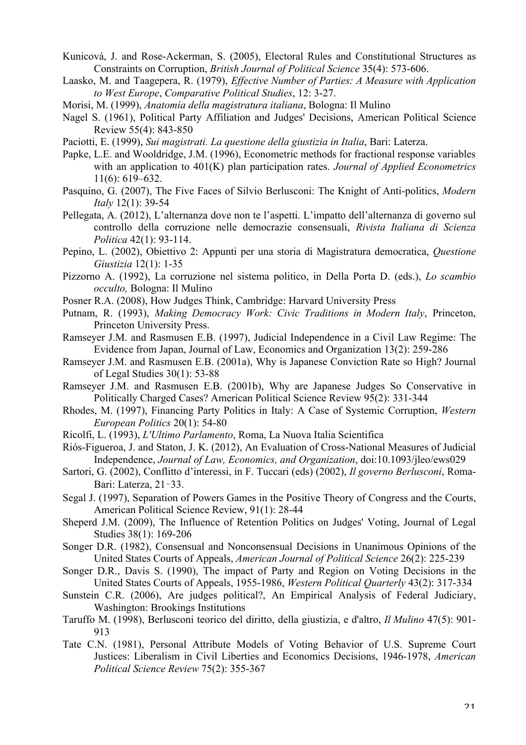- Kunicová, J. and Rose-Ackerman, S. (2005), Electoral Rules and Constitutional Structures as Constraints on Corruption, *British Journal of Political Science* 35(4): 573-606.
- Laasko, M. and Taagepera, R. (1979), *Effective Number of Parties: A Measure with Application to West Europe*, *Comparative Political Studies*, 12: 3-27.
- Morisi, M. (1999), *Anatomia della magistratura italiana*, Bologna: Il Mulino
- Nagel S. (1961), Political Party Affiliation and Judges' Decisions, American Political Science Review 55(4): 843-850
- Paciotti, E. (1999), *Sui magistrati. La questione della giustizia in Italia*, Bari: Laterza.
- Papke, L.E. and Wooldridge, J.M. (1996), Econometric methods for fractional response variables with an application to 401(K) plan participation rates. *Journal of Applied Econometrics* 11(6): 619–632.
- Pasquino, G. (2007), The Five Faces of Silvio Berlusconi: The Knight of Anti-politics, *Modern Italy* 12(1): 39-54
- Pellegata, A. (2012), L'alternanza dove non te l'aspetti. L'impatto dell'alternanza di governo sul controllo della corruzione nelle democrazie consensuali, *Rivista Italiana di Scienza Politica* 42(1): 93-114.
- Pepino, L. (2002), Obiettivo 2: Appunti per una storia di Magistratura democratica, *Questione Giustizia* 12(1): 1-35
- Pizzorno A. (1992), La corruzione nel sistema politico, in Della Porta D. (eds.), *Lo scambio occulto,* Bologna: Il Mulino
- Posner R.A. (2008), How Judges Think, Cambridge: Harvard University Press
- Putnam, R. (1993), *Making Democracy Work: Civic Traditions in Modern Italy*, Princeton, Princeton University Press.
- Ramseyer J.M. and Rasmusen E.B. (1997), Judicial Independence in a Civil Law Regime: The Evidence from Japan, Journal of Law, Economics and Organization 13(2): 259-286
- Ramseyer J.M. and Rasmusen E.B. (2001a), Why is Japanese Conviction Rate so High? Journal of Legal Studies 30(1): 53-88
- Ramseyer J.M. and Rasmusen E.B. (2001b), Why are Japanese Judges So Conservative in Politically Charged Cases? American Political Science Review 95(2): 331-344
- Rhodes, M. (1997), Financing Party Politics in Italy: A Case of Systemic Corruption, *Western European Politics* 20(1): 54-80
- Ricolfi, L. (1993), *L'Ultimo Parlamento*, Roma, La Nuova Italia Scientifica
- Riós-Figueroa, J. and Staton, J. K. (2012), An Evaluation of Cross-National Measures of Judicial Independence, *Journal of Law, Economics, and Organization*, doi:10.1093/jleo/ews029
- Sartori, G. (2002), Conflitto d'interessi, in F. Tuccari (eds) (2002), *Il governo Berlusconi*, Roma-Bari: Laterza, 21–33.
- Segal J. (1997), Separation of Powers Games in the Positive Theory of Congress and the Courts, American Political Science Review, 91(1): 28-44
- Sheperd J.M. (2009), The Influence of Retention Politics on Judges' Voting, Journal of Legal Studies 38(1): 169-206
- Songer D.R. (1982), Consensual and Nonconsensual Decisions in Unanimous Opinions of the United States Courts of Appeals, *American Journal of Political Science* 26(2): 225-239
- Songer D.R., Davis S. (1990), The impact of Party and Region on Voting Decisions in the United States Courts of Appeals, 1955-1986, *Western Political Quarterly* 43(2): 317-334
- Sunstein C.R. (2006), Are judges political?, An Empirical Analysis of Federal Judiciary, Washington: Brookings Institutions
- Taruffo M. (1998), Berlusconi teorico del diritto, della giustizia, e d'altro, *Il Mulino* 47(5): 901- 913
- Tate C.N. (1981), Personal Attribute Models of Voting Behavior of U.S. Supreme Court Justices: Liberalism in Civil Liberties and Economics Decisions, 1946-1978, *American Political Science Review* 75(2): 355-367